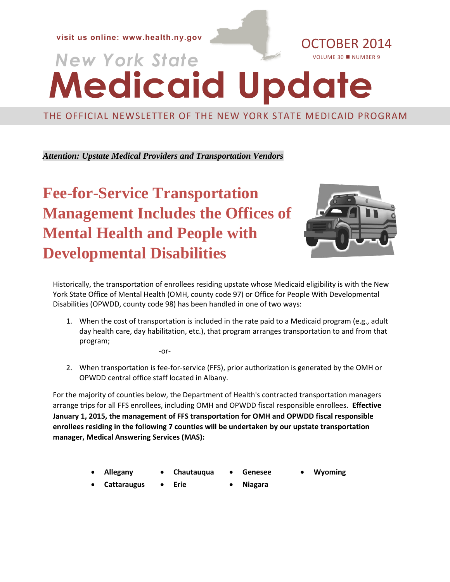**visit us online:** [www.health.ny.gov](file://ocp-fp/ksk05$/Medicaid%20Update/www.health.ny.gov) **OCTOBER 2014** 

# **Medicaid Update** VOLUME 30 NUMBER 9

#### THE OFFICIAL NEWSLETTER OF THE NEW YORK STATE MEDICAID PROGRAM

*Attention: Upstate Medical Providers and Transportation Vendors*

**Fee-for-Service Transportation Management Includes the Offices of Mental Health and People with Developmental Disabilities**



Historically, the transportation of enrollees residing upstate whose Medicaid eligibility is with the New York State Office of Mental Health (OMH, county code 97) or Office for People With Developmental Disabilities (OPWDD, county code 98) has been handled in one of two ways:

- 1. When the cost of transportation is included in the rate paid to a Medicaid program (e.g., adult day health care, day habilitation, etc.), that program arranges transportation to and from that program;
	- -or-
- 2. When transportation is fee-for-service (FFS), prior authorization is generated by the OMH or OPWDD central office staff located in Albany.

For the majority of counties below, the Department of Health's contracted transportation managers arrange trips for all FFS enrollees, including OMH and OPWDD fiscal responsible enrollees. **Effective January 1, 2015, the management of FFS transportation for OMH and OPWDD fiscal responsible enrollees residing in the following 7 counties will be undertaken by our upstate transportation manager, Medical Answering Services (MAS):**

- 
- **Allegany Chautauqua Genesee Wyoming**
	-
- 
- **Cattaraugus Erie** Niagara
-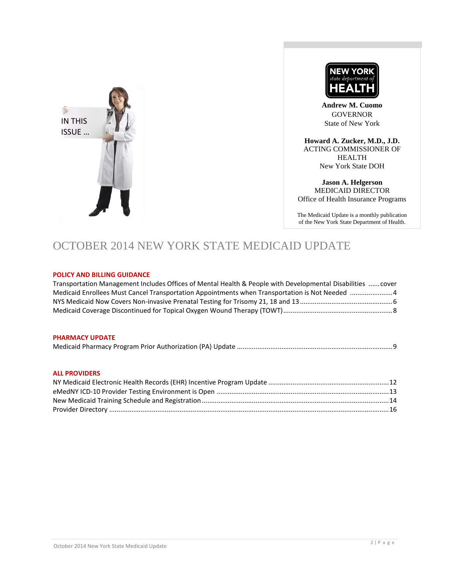



**Andrew M. Cuomo** GOVERNOR State of New York

**Howard A. Zucker, M.D., J.D.** ACTING COMMISSIONER OF HEALTH New York State DOH

**Jason A. Helgerson** MEDICAID DIRECTOR Office of Health Insurance Programs

The Medicaid Update is a monthly publication of the New York State Department of Health.

### OCTOBER 2014 NEW YORK STATE MEDICAID UPDATE

#### **POLICY AND BILLING GUIDANCE**

| Transportation Management Includes Offices of Mental Health & People with Developmental Disabilities  cover |  |
|-------------------------------------------------------------------------------------------------------------|--|
| Medicaid Enrollees Must Cancel Transportation Appointments when Transportation is Not Needed 4              |  |
|                                                                                                             |  |
|                                                                                                             |  |

#### **PHARMACY UPDATE**

|--|--|

#### **ALL PROVIDERS**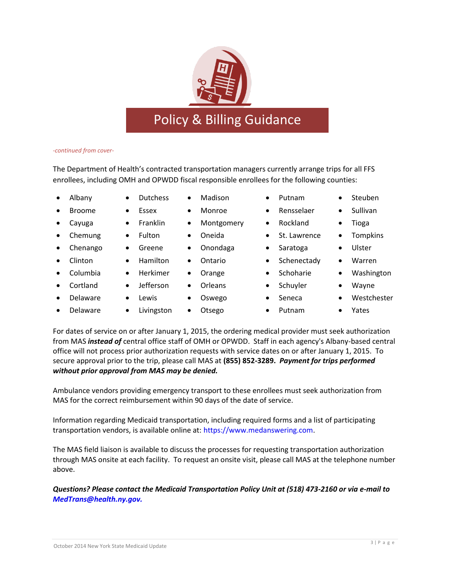*-continued from cover-*

The Department of Health's contracted transportation managers currently arrange trips for all FFS enrollees, including OMH and OPWDD fiscal responsible enrollees for the following counties:

- Albany Dutchess Madison Putnam Steuben
- Broome Essex Monroe Rensselaer Sullivan
- 
- Chemung Fulton Oneida St. Lawrence Tompkins
- Chenango Greene Onondaga Saratoga Ulster
- 
- 
- Cortland Jefferson Orleans Schuyler Wayne
- Delaware Lewis Oswego Seneca Westchester
- Delaware Livingston Otsego Putnam Yates
- 
- -
- 
- 
- -
- 
- 
- Columbia Herkimer Orange Schoharie Washington
	-
	-
- 
- 
- -
- Clinton Hamilton Ontario Schenectady Warren
	-
	- - - -

For dates of service on or after January 1, 2015, the ordering medical provider must seek authorization from MAS *instead of* central office staff of OMH or OPWDD. Staff in each agency's Albany-based central office will not process prior authorization requests with service dates on or after January 1, 2015. To secure approval prior to the trip, please call MAS at **(855) 852-3289.** *Payment for trips performed without prior approval from MAS may be denied.*

Ambulance vendors providing emergency transport to these enrollees must seek authorization from MAS for the correct reimbursement within 90 days of the date of service.

Information regarding Medicaid transportation, including required forms and a list of participating transportation vendors, is available online at: [https://www.medanswering.com.](https://www.medanswering.com/)

The MAS field liaison is available to discuss the processes for requesting transportation authorization through MAS onsite at each facility. To request an onsite visit, please call MAS at the telephone number above.

*Questions? Please contact the Medicaid Transportation Policy Unit at (518) 473-2160 or via e-mail to [MedTrans@health.ny.gov.](mailto:MedTrans@health.ny.gov)*



- 
- 
- Cayuga  $\bullet$  Franklin Montgomery Rockland Tioga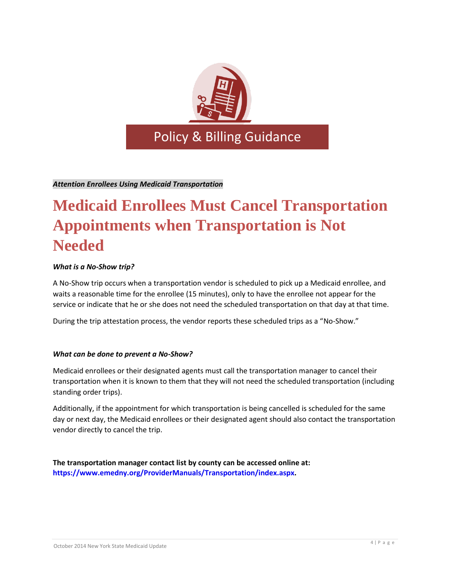

*Attention Enrollees Using Medicaid Transportation*

# **Medicaid Enrollees Must Cancel Transportation Appointments when Transportation is Not Needed**

#### *What is a No-Show trip?*

A No-Show trip occurs when a transportation vendor is scheduled to pick up a Medicaid enrollee, and waits a reasonable time for the enrollee (15 minutes), only to have the enrollee not appear for the service or indicate that he or she does not need the scheduled transportation on that day at that time.

During the trip attestation process, the vendor reports these scheduled trips as a "No-Show."

#### *What can be done to prevent a No-Show?*

Medicaid enrollees or their designated agents must call the transportation manager to cancel their transportation when it is known to them that they will not need the scheduled transportation (including standing order trips).

Additionally, if the appointment for which transportation is being cancelled is scheduled for the same day or next day, the Medicaid enrollees or their designated agent should also contact the transportation vendor directly to cancel the trip.

**The transportation manager contact list by county can be accessed online at: [https://www.emedny.org/ProviderManuals/Transportation/index.aspx.](https://www.emedny.org/ProviderManuals/Transportation/index.aspx)**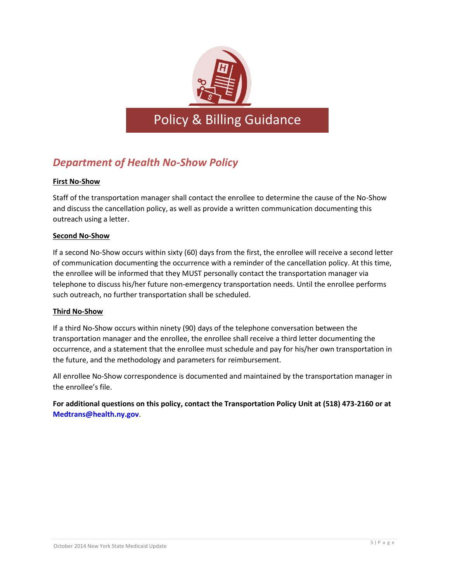

### *Department of Health No-Show Policy*

#### **First No-Show**

Staff of the transportation manager shall contact the enrollee to determine the cause of the No-Show and discuss the cancellation policy, as well as provide a written communication documenting this outreach using a letter.

#### **Second No-Show**

If a second No-Show occurs within sixty (60) days from the first, the enrollee will receive a second letter of communication documenting the occurrence with a reminder of the cancellation policy. At this time, the enrollee will be informed that they MUST personally contact the transportation manager via telephone to discuss his/her future non-emergency transportation needs. Until the enrollee performs such outreach, no further transportation shall be scheduled.

#### **Third No-Show**

If a third No-Show occurs within ninety (90) days of the telephone conversation between the transportation manager and the enrollee, the enrollee shall receive a third letter documenting the occurrence, and a statement that the enrollee must schedule and pay for his/her own transportation in the future, and the methodology and parameters for reimbursement.

All enrollee No-Show correspondence is documented and maintained by the transportation manager in the enrollee's file.

**For additional questions on this policy, contact the Transportation Policy Unit at (518) 473-2160 or at [Medtrans@health.ny.gov](mailto:Medtrans@health.ny.gov)**.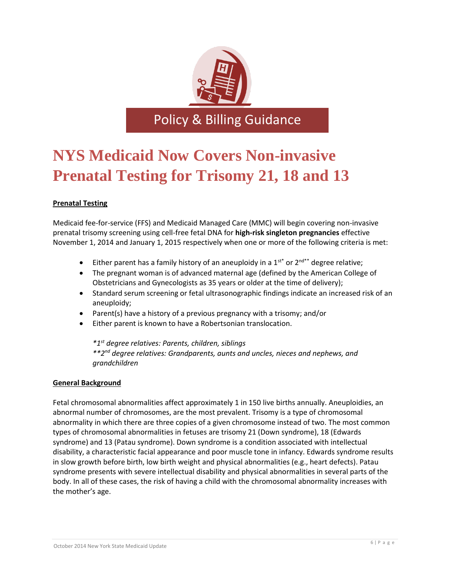

Policy & Billing Guidance

# **NYS Medicaid Now Covers Non-invasive Prenatal Testing for Trisomy 21, 18 and 13**

#### **Prenatal Testing**

Medicaid fee-for-service (FFS) and Medicaid Managed Care (MMC) will begin covering non-invasive prenatal trisomy screening using cell-free fetal DNA for **high-risk singleton pregnancies** effective November 1, 2014 and January 1, 2015 respectively when one or more of the following criteria is met:

- Either parent has a family history of an aneuploidy in a  $1^{st*}$  or  $2^{nd**}$  degree relative;
- The pregnant woman is of advanced maternal age (defined by the American College of Obstetricians and Gynecologists as 35 years or older at the time of delivery);
- Standard serum screening or fetal ultrasonographic findings indicate an increased risk of an aneuploidy;
- Parent(s) have a history of a previous pregnancy with a trisomy; and/or
- Either parent is known to have a Robertsonian translocation.

*\*1st degree relatives: Parents, children, siblings \*\*2nd degree relatives: Grandparents, aunts and uncles, nieces and nephews, and grandchildren*

#### **General Background**

Fetal chromosomal abnormalities affect approximately 1 in 150 live births annually. Aneuploidies, an abnormal number of chromosomes, are the most prevalent. Trisomy is a type of chromosomal abnormality in which there are three copies of a given chromosome instead of two. The most common types of chromosomal abnormalities in fetuses are trisomy 21 (Down syndrome), 18 (Edwards syndrome) and 13 (Patau syndrome). Down syndrome is a condition associated with intellectual disability, a characteristic facial appearance and poor muscle tone in infancy. Edwards syndrome results in slow growth before birth, low birth weight and physical abnormalities (e.g., heart defects). Patau syndrome presents with severe intellectual disability and physical abnormalities in several parts of the body. In all of these cases, the risk of having a child with the chromosomal abnormality increases with the mother's age.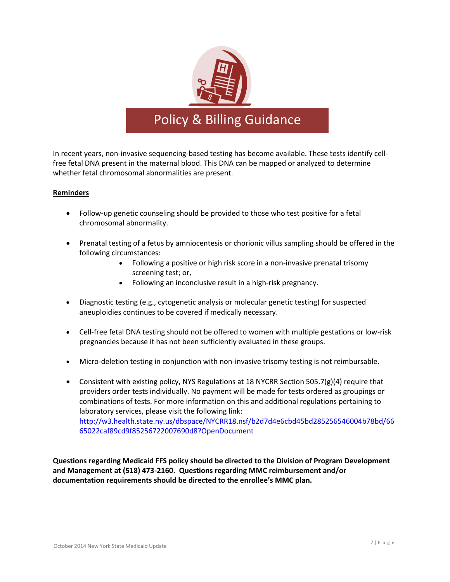

### Policy & Billing Guidance

In recent years, non-invasive sequencing-based testing has become available. These tests identify cellfree fetal DNA present in the maternal blood. This DNA can be mapped or analyzed to determine whether fetal chromosomal abnormalities are present.

#### **Reminders**

- Follow-up genetic counseling should be provided to those who test positive for a fetal chromosomal abnormality.
- Prenatal testing of a fetus by amniocentesis or chorionic villus sampling should be offered in the following circumstances:
	- Following a positive or high risk score in a non-invasive prenatal trisomy screening test; or,
	- Following an inconclusive result in a high-risk pregnancy.
- Diagnostic testing (e.g., cytogenetic analysis or molecular genetic testing) for suspected aneuploidies continues to be covered if medically necessary.
- Cell-free fetal DNA testing should not be offered to women with multiple gestations or low-risk pregnancies because it has not been sufficiently evaluated in these groups.
- Micro-deletion testing in conjunction with non-invasive trisomy testing is not reimbursable.
- Consistent with existing policy, NYS Regulations at 18 NYCRR Section 505.7(g)(4) require that providers order tests individually. No payment will be made for tests ordered as groupings or combinations of tests. For more information on this and additional regulations pertaining to laboratory services, please visit the following link: [http://w3.health.state.ny.us/dbspace/NYCRR18.nsf/b2d7d4e6cbd45bd285256546004b78bd/66](http://w3.health.state.ny.us/dbspace/NYCRR18.nsf/b2d7d4e6cbd45bd285256546004b78bd/6665022caf89cd9f85256722007690d8?OpenDocument) [65022caf89cd9f85256722007690d8?OpenDocument](http://w3.health.state.ny.us/dbspace/NYCRR18.nsf/b2d7d4e6cbd45bd285256546004b78bd/6665022caf89cd9f85256722007690d8?OpenDocument)

**Questions regarding Medicaid FFS policy should be directed to the Division of Program Development and Management at (518) 473-2160. Questions regarding MMC reimbursement and/or documentation requirements should be directed to the enrollee's MMC plan.**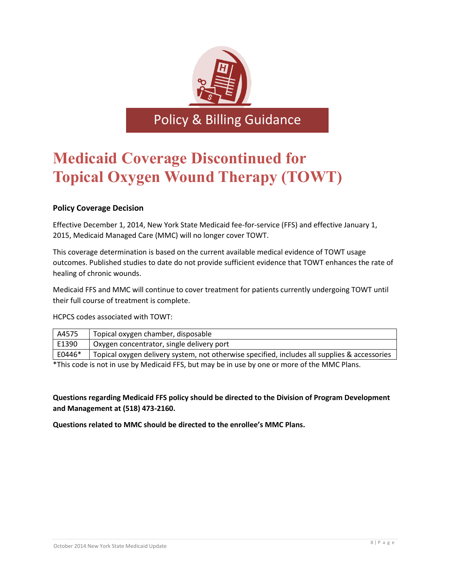

Policy & Billing Guidance

### **Medicaid Coverage Discontinued for Topical Oxygen Wound Therapy (TOWT)**

#### **Policy Coverage Decision**

Effective December 1, 2014, New York State Medicaid fee-for-service (FFS) and effective January 1, 2015, Medicaid Managed Care (MMC) will no longer cover TOWT.

This coverage determination is based on the current available medical evidence of TOWT usage outcomes. Published studies to date do not provide sufficient evidence that TOWT enhances the rate of healing of chronic wounds.

Medicaid FFS and MMC will continue to cover treatment for patients currently undergoing TOWT until their full course of treatment is complete.

HCPCS codes associated with TOWT:

| A4575  | Topical oxygen chamber, disposable                                                           |
|--------|----------------------------------------------------------------------------------------------|
| E1390  | Oxygen concentrator, single delivery port                                                    |
| E0446* | Topical oxygen delivery system, not otherwise specified, includes all supplies & accessories |
|        |                                                                                              |

\*This code is not in use by Medicaid FFS, but may be in use by one or more of the MMC Plans.

**Questions regarding Medicaid FFS policy should be directed to the Division of Program Development and Management at (518) 473-2160.**

**Questions related to MMC should be directed to the enrollee's MMC Plans.**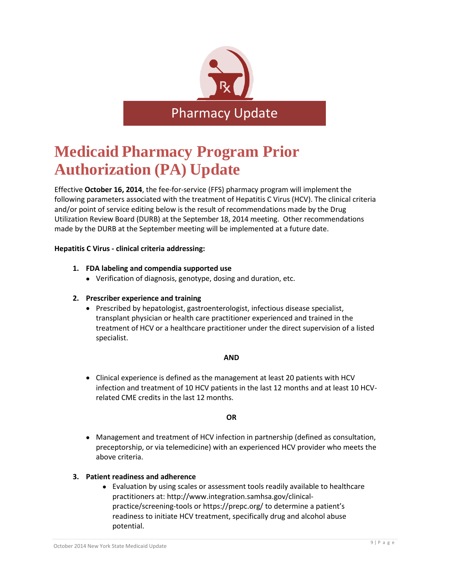

# **Medicaid Pharmacy Program Prior Authorization (PA) Update**

Effective **October 16, 2014**, the fee-for-service (FFS) pharmacy program will implement the following parameters associated with the treatment of Hepatitis C Virus (HCV). The clinical criteria and/or point of service editing below is the result of recommendations made by the Drug Utilization Review Board (DURB) at the September 18, 2014 meeting. Other recommendations made by the DURB at the September meeting will be implemented at a future date.

#### **Hepatitis C Virus - clinical criteria addressing:**

#### **1. FDA labeling and compendia supported use**

Verification of diagnosis, genotype, dosing and duration, etc.

#### **2. Prescriber experience and training**

• Prescribed by hepatologist, gastroenterologist, infectious disease specialist, transplant physician or health care practitioner experienced and trained in the treatment of HCV or a healthcare practitioner under the direct supervision of a listed specialist.

#### **AND**

 Clinical experience is defined as the management at least 20 patients with HCV infection and treatment of 10 HCV patients in the last 12 months and at least 10 HCVrelated CME credits in the last 12 months.

#### **OR**

 Management and treatment of HCV infection in partnership (defined as consultation, preceptorship, or via telemedicine) with an experienced HCV provider who meets the above criteria.

#### **3. Patient readiness and adherence**

 Evaluation by using scales or assessment tools readily available to healthcare practitioners at: [http://www.integration.samhsa.gov/clinical](http://www.integration.samhsa.gov/clinical-practice/screening-tools)[practice/screening-tools](http://www.integration.samhsa.gov/clinical-practice/screening-tools) or<https://prepc.org/> to determine a patient's readiness to initiate HCV treatment, specifically drug and alcohol abuse potential.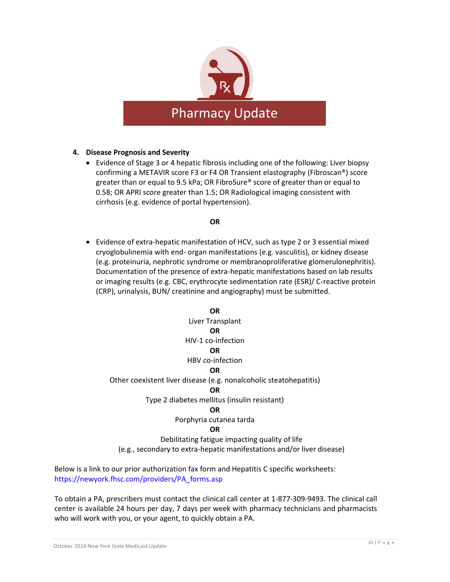

#### **4. Disease Prognosis and Severity**

 Evidence of Stage 3 or 4 hepatic fibrosis including one of the following: Liver biopsy confirming a METAVIR score F3 or F4 OR Transient elastography (Fibroscan®) score greater than or equal to 9.5 kPa; OR FibroSure® score of greater than or equal to 0.58; OR APRI score greater than 1.5; OR Radiological imaging consistent with cirrhosis (e.g. evidence of portal hypertension).

#### **OR**

 Evidence of extra-hepatic manifestation of HCV, such as type 2 or 3 essential mixed cryoglobulinemia with end- organ manifestations (e.g. vasculitis), or kidney disease (e.g. proteinuria, nephrotic syndrome or membranoproliferative glomerulonephritis). Documentation of the presence of extra-hepatic manifestations based on lab results or imaging results (e.g. CBC, erythrocyte sedimentation rate (ESR)/ C-reactive protein (CRP), urinalysis, BUN/ creatinine and angiography) must be submitted.

#### **OR**

Liver Transplant **OR** HIV-1 co-infection **OR** HBV co-infection

#### **OR**

Other coexistent liver disease (e.g. nonalcoholic steatohepatitis)

#### **OR**

Type 2 diabetes mellitus (insulin resistant)

#### **OR**

Porphyria cutanea tarda

#### **OR**

Debilitating fatigue impacting quality of life (e.g., secondary to extra-hepatic manifestations and/or liver disease)

Below is a link to our prior authorization fax form and Hepatitis C specific worksheets: [https://newyork.fhsc.com/providers/PA\\_forms.asp](https://newyork.fhsc.com/providers/PA_forms.asp)

To obtain a PA, prescribers must contact the clinical call center at 1-877-309-9493. The clinical call center is available 24 hours per day, 7 days per week with pharmacy technicians and pharmacists who will work with you, or your agent, to quickly obtain a PA.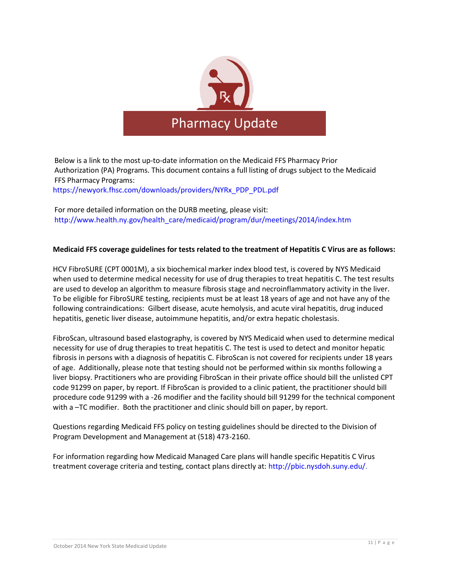

Below is a link to the most up-to-date information on the Medicaid FFS Pharmacy Prior Authorization (PA) Programs. This document contains a full listing of drugs subject to the Medicaid FFS Pharmacy Programs:

[https://newyork.fhsc.com/downloads/providers/NYRx\\_PDP\\_PDL.pdf](https://newyork.fhsc.com/downloads/providers/NYRx_PDP_PDL.pdf)

For more detailed information on the DURB meeting, please visit: [http://www.health.ny.gov/health\\_care/medicaid/program/dur/meetings/2014/index.htm](http://www.health.ny.gov/health_care/medicaid/program/dur/meetings/2014/index.htm)

#### **Medicaid FFS coverage guidelines for tests related to the treatment of Hepatitis C Virus are as follows:**

HCV FibroSURE (CPT 0001M), a six biochemical marker index blood test, is covered by NYS Medicaid when used to determine medical necessity for use of drug therapies to treat hepatitis C. The test results are used to develop an algorithm to measure fibrosis stage and necroinflammatory activity in the liver. To be eligible for FibroSURE testing, recipients must be at least 18 years of age and not have any of the following contraindications: Gilbert disease, acute hemolysis, and acute viral hepatitis, drug induced hepatitis, genetic liver disease, autoimmune hepatitis, and/or extra hepatic cholestasis.

FibroScan, ultrasound based elastography, is covered by NYS Medicaid when used to determine medical necessity for use of drug therapies to treat hepatitis C. The test is used to detect and monitor hepatic fibrosis in persons with a diagnosis of hepatitis C. FibroScan is not covered for recipients under 18 years of age. Additionally, please note that testing should not be performed within six months following a liver biopsy. Practitioners who are providing FibroScan in their private office should bill the unlisted CPT code 91299 on paper, by report. If FibroScan is provided to a clinic patient, the practitioner should bill procedure code 91299 with a -26 modifier and the facility should bill 91299 for the technical component with a –TC modifier. Both the practitioner and clinic should bill on paper, by report.

Questions regarding Medicaid FFS policy on testing guidelines should be directed to the Division of Program Development and Management at (518) 473-2160.

For information regarding how Medicaid Managed Care plans will handle specific Hepatitis C Virus treatment coverage criteria and testing, contact plans directly at: [http://pbic.nysdoh.suny.edu/.](http://pbic.nysdoh.suny.edu/)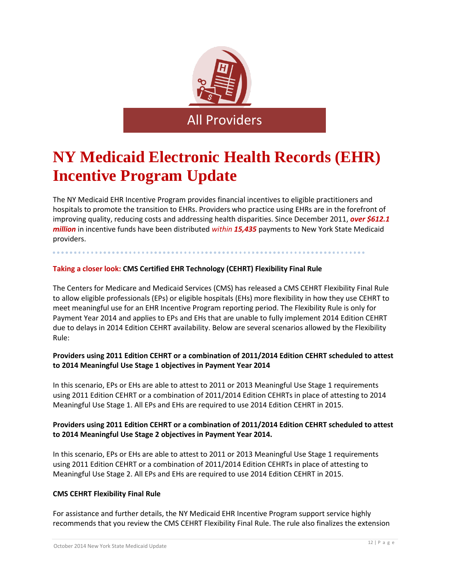

# **NY Medicaid Electronic Health Records (EHR) Incentive Program Update**

The NY Medicaid EHR Incentive Program provides financial incentives to eligible practitioners and hospitals to promote the transition to EHRs. Providers who practice using EHRs are in the forefront of improving quality, reducing costs and addressing health disparities. Since December 2011, *over \$612.1 million* in incentive funds have been distributed *within 15,435* payments to New York State Medicaid providers.

. . . . . . . . . . . . . . . . .

.............

#### **Taking a closer look: CMS Certified EHR Technology (CEHRT) Flexibility Final Rule**

..............

The Centers for Medicare and Medicaid Services (CMS) has released a CMS CEHRT Flexibility Final Rule to allow eligible professionals (EPs) or eligible hospitals (EHs) more flexibility in how they use CEHRT to meet meaningful use for an EHR Incentive Program reporting period. The Flexibility Rule is only for Payment Year 2014 and applies to EPs and EHs that are unable to fully implement 2014 Edition CEHRT due to delays in 2014 Edition CEHRT availability. Below are several scenarios allowed by the Flexibility Rule:

#### **Providers using 2011 Edition CEHRT or a combination of 2011/2014 Edition CEHRT scheduled to attest to 2014 Meaningful Use Stage 1 objectives in Payment Year 2014**

In this scenario, EPs or EHs are able to attest to 2011 or 2013 Meaningful Use Stage 1 requirements using 2011 Edition CEHRT or a combination of 2011/2014 Edition CEHRTs in place of attesting to 2014 Meaningful Use Stage 1. All EPs and EHs are required to use 2014 Edition CEHRT in 2015.

#### **Providers using 2011 Edition CEHRT or a combination of 2011/2014 Edition CEHRT scheduled to attest to 2014 Meaningful Use Stage 2 objectives in Payment Year 2014.**

In this scenario, EPs or EHs are able to attest to 2011 or 2013 Meaningful Use Stage 1 requirements using 2011 Edition CEHRT or a combination of 2011/2014 Edition CEHRTs in place of attesting to Meaningful Use Stage 2. All EPs and EHs are required to use 2014 Edition CEHRT in 2015.

#### **CMS CEHRT Flexibility Final Rule**

For assistance and further details, the NY Medicaid EHR Incentive Program support service highly recommends that you review the CMS CEHRT Flexibility Final Rule. The rule also finalizes the extension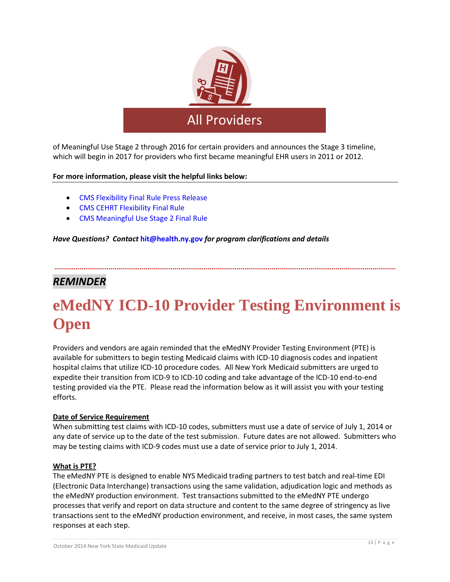

of Meaningful Use Stage 2 through 2016 for certain providers and announces the Stage 3 timeline, which will begin in 2017 for providers who first became meaningful EHR users in 2011 or 2012.

#### **For more information, please visit the helpful links below:**

- [CMS Flexibility Final Rule Press Release](http://www.cms.gov/Newsroom/MediaReleaseDatabase/Press-releases/2014-Press-releases-items/2014-08-29.html)
- [CMS CEHRT Flexibility Final Rule](http://www.gpo.gov/fdsys/pkg/FR-2014-09-04/pdf/2014-21021.pdf)
- [CMS Meaningful Use Stage 2 Final Rule](http://www.gpo.gov/fdsys/pkg/FR-2012-09-04/pdf/2012-21050.pdf)

#### *Have Questions? Contact* **[hit@health.ny.gov](mailto:hit@health.ny.gov)** *for program clarifications and details*

### *REMINDER*

# **eMedNY ICD-10 Provider Testing Environment is Open**

**................................................................................................................................................................................**

Providers and vendors are again reminded that the eMedNY Provider Testing Environment (PTE) is available for submitters to begin testing Medicaid claims with ICD-10 diagnosis codes and inpatient hospital claims that utilize ICD-10 procedure codes. All New York Medicaid submitters are urged to expedite their transition from ICD-9 to ICD-10 coding and take advantage of the ICD-10 end-to-end testing provided via the PTE. Please read the information below as it will assist you with your testing efforts.

#### **Date of Service Requirement**

When submitting test claims with ICD-10 codes, submitters must use a date of service of July 1, 2014 or any date of service up to the date of the test submission. Future dates are not allowed. Submitters who may be testing claims with ICD-9 codes must use a date of service prior to July 1, 2014.

#### **What is PTE?**

The eMedNY PTE is designed to enable NYS Medicaid trading partners to test batch and real-time EDI (Electronic Data Interchange) transactions using the same validation, adjudication logic and methods as the eMedNY production environment. Test transactions submitted to the eMedNY PTE undergo processes that verify and report on data structure and content to the same degree of stringency as live transactions sent to the eMedNY production environment, and receive, in most cases, the same system responses at each step.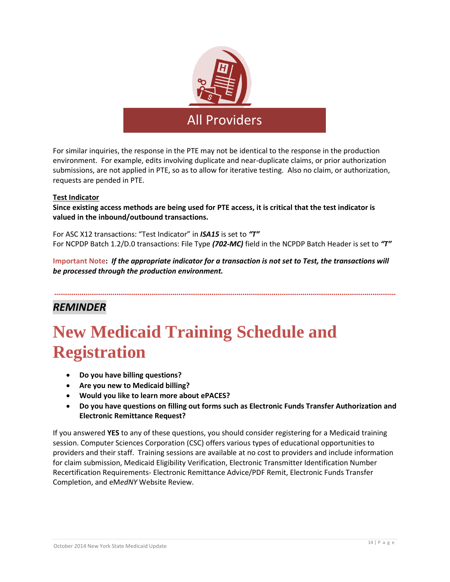

For similar inquiries, the response in the PTE may not be identical to the response in the production environment. For example, edits involving duplicate and near-duplicate claims, or prior authorization submissions, are not applied in PTE, so as to allow for iterative testing. Also no claim, or authorization, requests are pended in PTE.

#### **Test Indicator**

**Since existing access methods are being used for PTE access, it is critical that the test indicator is valued in the inbound/outbound transactions.** 

For ASC X12 transactions: "Test Indicator" in *ISA15* is set to *"T"*  For NCPDP Batch 1.2/D.0 transactions: File Type *(702-MC)* field in the NCPDP Batch Header is set to *"T"* 

**Important Note:** *If the appropriate indicator for a transaction is not set to Test, the transactions will be processed through the production environment.*

**................................................................................................................................................................................**

### *REMINDER*

# **New Medicaid Training Schedule and Registration**

- **Do you have billing questions?**
- **Are you new to Medicaid billing?**
- **Would you like to learn more about ePACES?**
- **Do you have questions on filling out forms such as Electronic Funds Transfer Authorization and Electronic Remittance Request?**

If you answered **YES** to any of these questions, you should consider registering for a Medicaid training session. Computer Sciences Corporation (CSC) offers various types of educational opportunities to providers and their staff. Training sessions are available at no cost to providers and include information for claim submission, Medicaid Eligibility Verification, Electronic Transmitter Identification Number Recertification Requirements- Electronic Remittance Advice/PDF Remit, Electronic Funds Transfer Completion, and eM*edNY* Website Review.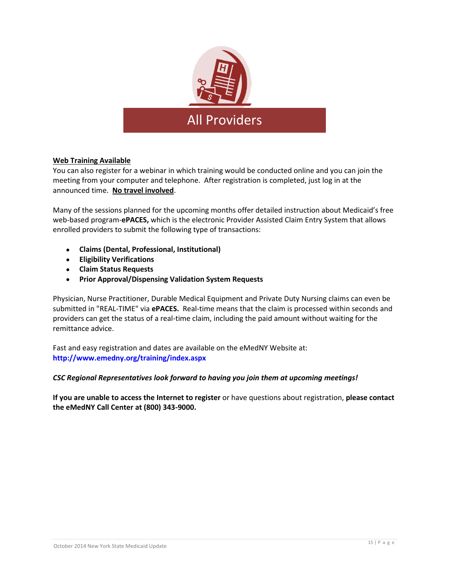

#### **Web Training Available**

You can also register for a webinar in which training would be conducted online and you can join the meeting from your computer and telephone. After registration is completed, just log in at the announced time. **No travel involved**.

Many of the sessions planned for the upcoming months offer detailed instruction about Medicaid's free web-based program-**ePACES,** which is the electronic Provider Assisted Claim Entry System that allows enrolled providers to submit the following type of transactions:

- **Claims (Dental, Professional, Institutional)**
- **Eligibility Verifications**
- **Claim Status Requests**
- **Prior Approval/Dispensing Validation System Requests**

Physician, Nurse Practitioner, Durable Medical Equipment and Private Duty Nursing claims can even be submitted in "REAL-TIME" via **ePACES.** Real-time means that the claim is processed within seconds and providers can get the status of a real-time claim, including the paid amount without waiting for the remittance advice.

Fast and easy registration and dates are available on the eMedNY Website at: **<http://www.emedny.org/training/index.aspx>**

#### *CSC Regional Representatives look forward to having you join them at upcoming meetings!*

**If you are unable to access the Internet to register** or have questions about registration, **please contact the eMedNY Call Center at (800) 343-9000.**